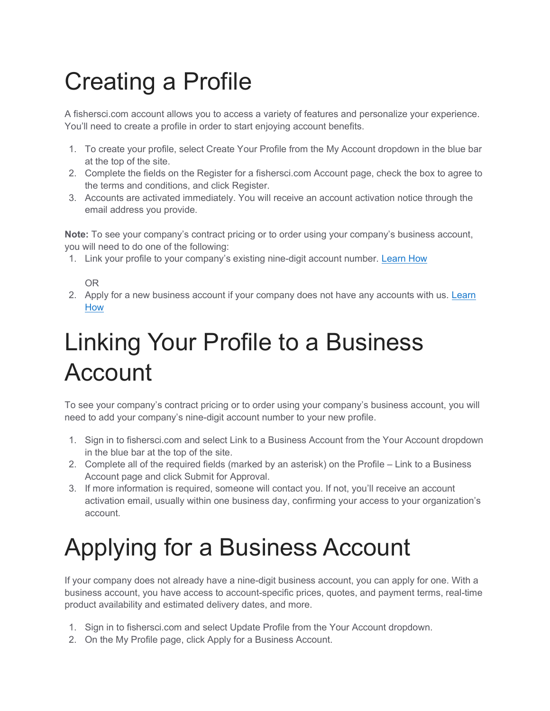## Creating a Profile

A fishersci.com account allows you to access a variety of features and personalize your experience. You'll need to create a profile in order to start enjoying account benefits.

- 1. To create your profile, select Create Your Profile from the My Account dropdown in the blue bar at the top of the site.
- 2. Complete the fields on the Register for a fishersci.com Account page, check the box to agree to the terms and conditions, and click Register.
- 3. Accounts are activated immediately. You will receive an account activation notice through the email address you provide.

Note: To see your company's contract pricing or to order using your company's business account, you will need to do one of the following:

1. Link your profile to your company's existing nine-digit account number. Learn How

## OR

2. Apply for a new business account if your company does not have any accounts with us. Learn How

## Linking Your Profile to a Business Account

To see your company's contract pricing or to order using your company's business account, you will need to add your company's nine-digit account number to your new profile.

- 1. Sign in to fishersci.com and select Link to a Business Account from the Your Account dropdown in the blue bar at the top of the site.
- 2. Complete all of the required fields (marked by an asterisk) on the Profile Link to a Business Account page and click Submit for Approval.
- 3. If more information is required, someone will contact you. If not, you'll receive an account activation email, usually within one business day, confirming your access to your organization's account.

## Applying for a Business Account

If your company does not already have a nine-digit business account, you can apply for one. With a business account, you have access to account-specific prices, quotes, and payment terms, real-time product availability and estimated delivery dates, and more.

- 1. Sign in to fishersci.com and select Update Profile from the Your Account dropdown.
- 2. On the My Profile page, click Apply for a Business Account.